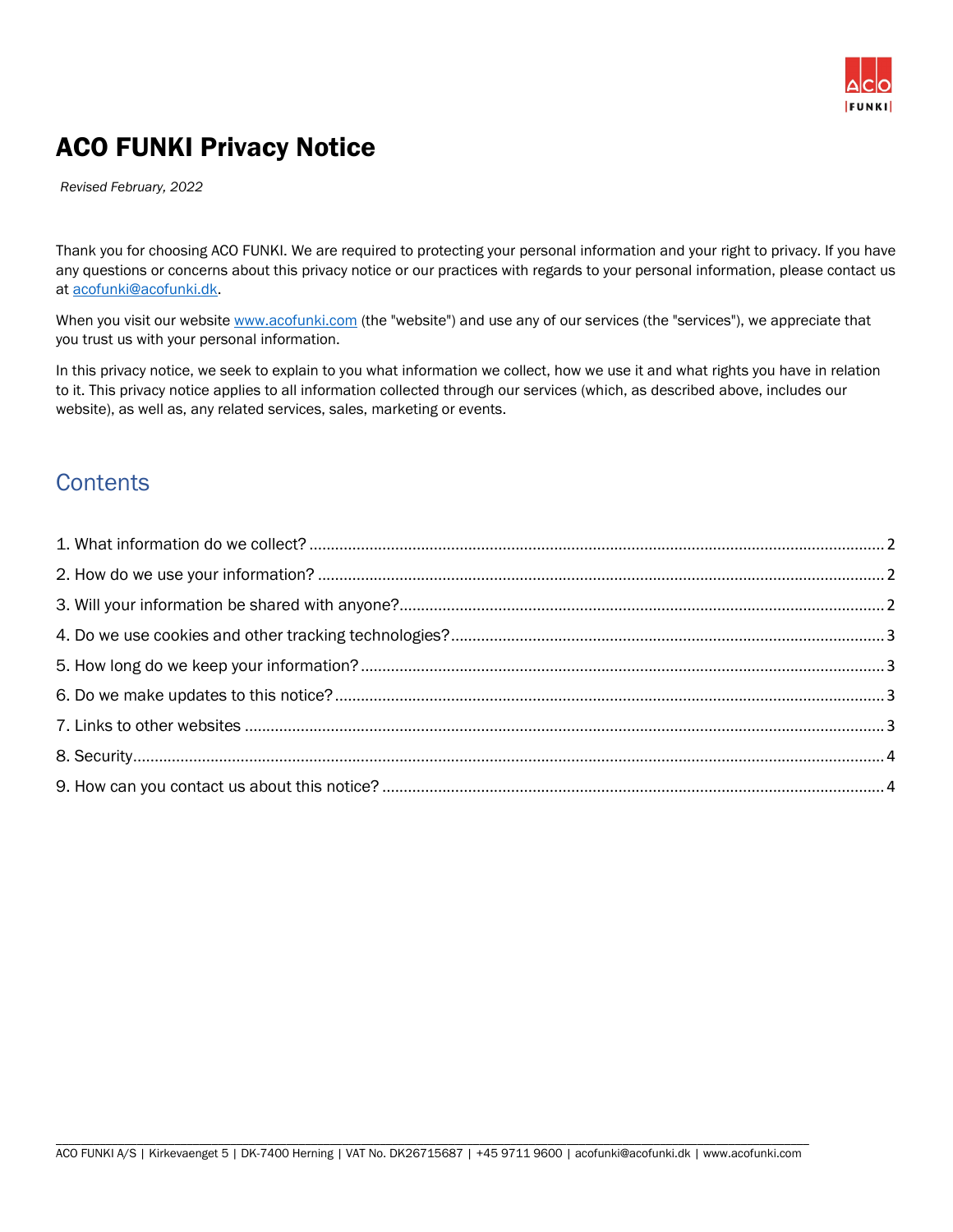

## ACO FUNKI Privacy Notice

*Revised February, 2022*

Thank you for choosing ACO FUNKI. We are required to protecting your personal information and your right to privacy. If you have any questions or concerns about this privacy notice or our practices with regards to your personal information, please contact us at [acofunki@acofunki.dk.](mailto:acofunki@acofunki.dk)

When you visit our website [www.acofunki.com](http://www.acofunki.com/) (the "website") and use any of our services (the "services"), we appreciate that you trust us with your personal information.

In this privacy notice, we seek to explain to you what information we collect, how we use it and what rights you have in relation to it. This privacy notice applies to all information collected through our services (which, as described above, includes our website), as well as, any related services, sales, marketing or events.

#### **Contents**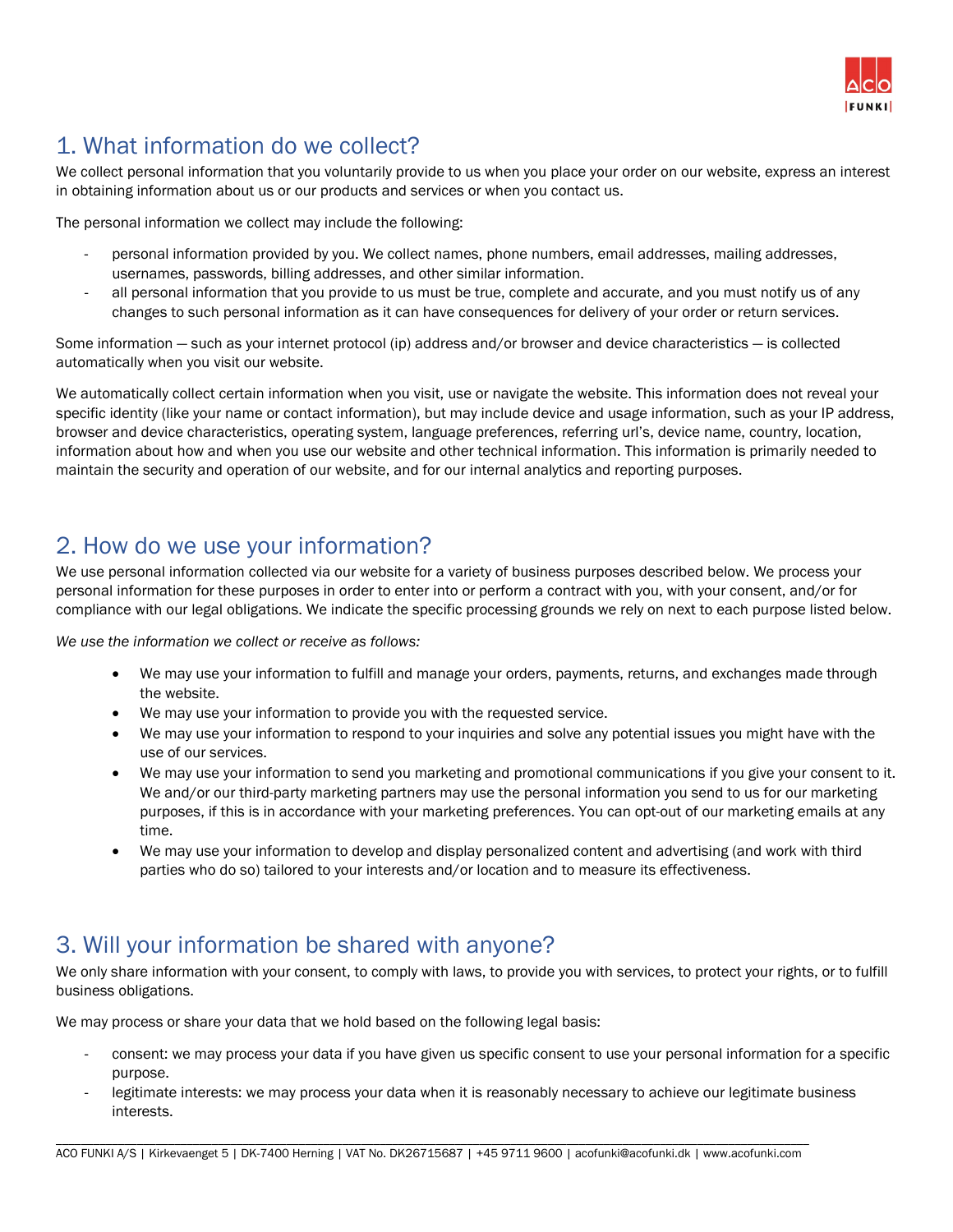

### <span id="page-1-0"></span>1. What information do we collect?

We collect personal information that you voluntarily provide to us when you place your order on our website, express an interest in obtaining information about us or our products and services or when you contact us.

The personal information we collect may include the following:

- personal information provided by you. We collect names, phone numbers, email addresses, mailing addresses, usernames, passwords, billing addresses, and other similar information.
- all personal information that you provide to us must be true, complete and accurate, and you must notify us of any changes to such personal information as it can have consequences for delivery of your order or return services.

Some information — such as your internet protocol (ip) address and/or browser and device characteristics — is collected automatically when you visit our website.

We automatically collect certain information when you visit, use or navigate the website. This information does not reveal your specific identity (like your name or contact information), but may include device and usage information, such as your IP address, browser and device characteristics, operating system, language preferences, referring url's, device name, country, location, information about how and when you use our website and other technical information. This information is primarily needed to maintain the security and operation of our website, and for our internal analytics and reporting purposes.

#### <span id="page-1-1"></span>2. How do we use your information?

We use personal information collected via our website for a variety of business purposes described below. We process your personal information for these purposes in order to enter into or perform a contract with you, with your consent, and/or for compliance with our legal obligations. We indicate the specific processing grounds we rely on next to each purpose listed below.

*We use the information we collect or receive as follows:*

- We may use your information to fulfill and manage your orders, payments, returns, and exchanges made through the website.
- We may use your information to provide you with the requested service.
- We may use your information to respond to your inquiries and solve any potential issues you might have with the use of our services.
- We may use your information to send you marketing and promotional communications if you give your consent to it. We and/or our third-party marketing partners may use the personal information you send to us for our marketing purposes, if this is in accordance with your marketing preferences. You can opt-out of our marketing emails at any time.
- We may use your information to develop and display personalized content and advertising (and work with third parties who do so) tailored to your interests and/or location and to measure its effectiveness.

#### <span id="page-1-2"></span>3. Will your information be shared with anyone?

We only share information with your consent, to comply with laws, to provide you with services, to protect your rights, or to fulfill business obligations.

We may process or share your data that we hold based on the following legal basis:

- consent: we may process your data if you have given us specific consent to use your personal information for a specific purpose.
- legitimate interests: we may process your data when it is reasonably necessary to achieve our legitimate business interests.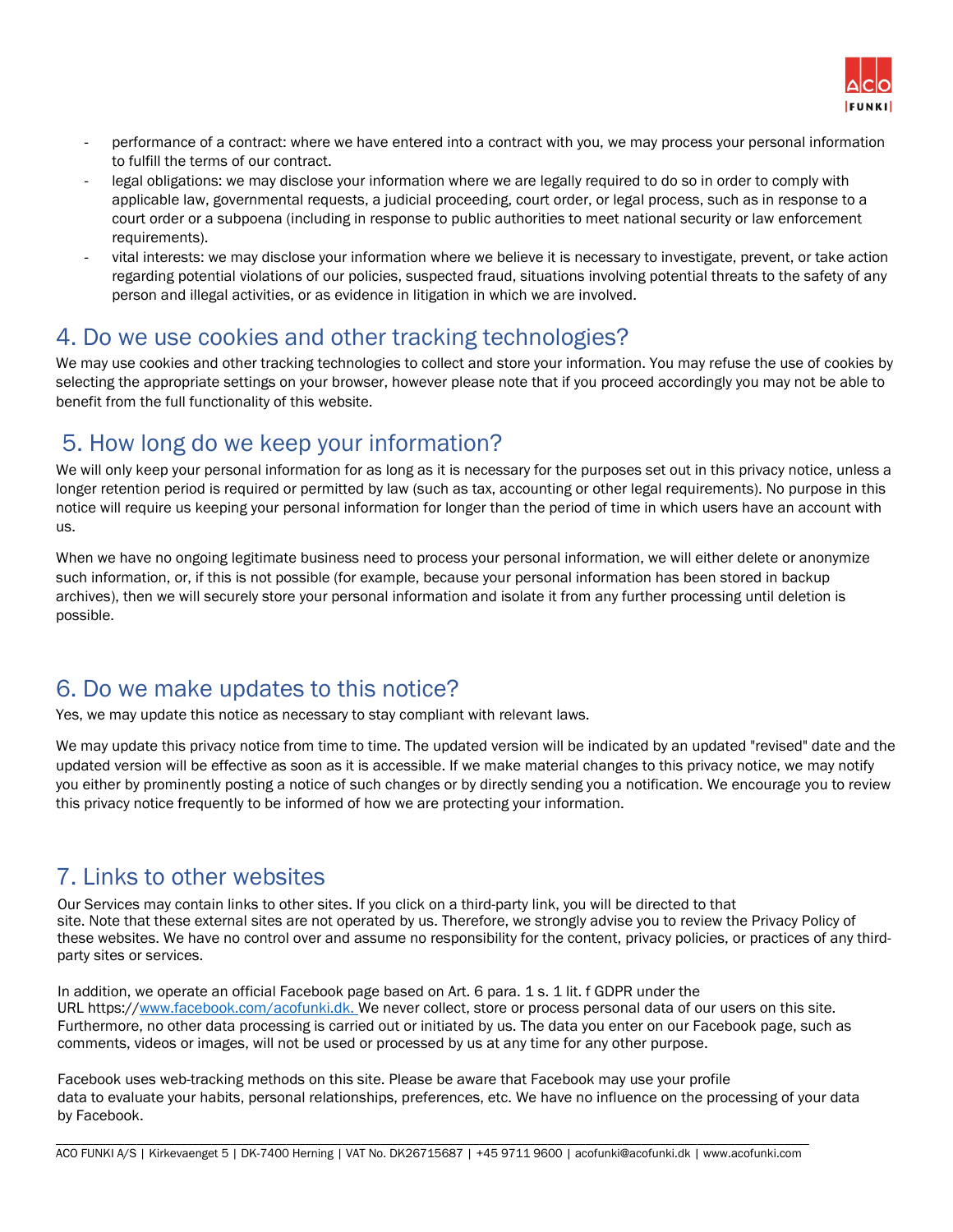

- performance of a contract: where we have entered into a contract with you, we may process your personal information to fulfill the terms of our contract.
- legal obligations: we may disclose your information where we are legally required to do so in order to comply with applicable law, governmental requests, a judicial proceeding, court order, or legal process, such as in response to a court order or a subpoena (including in response to public authorities to meet national security or law enforcement requirements).
- vital interests: we may disclose your information where we believe it is necessary to investigate, prevent, or take action regarding potential violations of our policies, suspected fraud, situations involving potential threats to the safety of any person and illegal activities, or as evidence in litigation in which we are involved.

#### <span id="page-2-0"></span>4. Do we use cookies and other tracking technologies?

We may use cookies and other tracking technologies to collect and store your information. You may refuse the use of cookies by selecting the appropriate settings on your browser, however please note that if you proceed accordingly you may not be able to benefit from the full functionality of this website.

#### <span id="page-2-1"></span>5. How long do we keep your information?

We will only keep your personal information for as long as it is necessary for the purposes set out in this privacy notice, unless a longer retention period is required or permitted by law (such as tax, accounting or other legal requirements). No purpose in this notice will require us keeping your personal information for longer than the period of time in which users have an account with us.

When we have no ongoing legitimate business need to process your personal information, we will either delete or anonymize such information, or, if this is not possible (for example, because your personal information has been stored in backup archives), then we will securely store your personal information and isolate it from any further processing until deletion is possible.

#### <span id="page-2-2"></span>6. Do we make updates to this notice?

Yes, we may update this notice as necessary to stay compliant with relevant laws.

We may update this privacy notice from time to time. The updated version will be indicated by an updated "revised" date and the updated version will be effective as soon as it is accessible. If we make material changes to this privacy notice, we may notify you either by prominently posting a notice of such changes or by directly sending you a notification. We encourage you to review this privacy notice frequently to be informed of how we are protecting your information.

#### <span id="page-2-3"></span>7. Links to other websites

Our Services may contain links to other sites. If you click on a third-party link, you will be directed to that site. Note that these external sites are not operated by us. Therefore, we strongly advise you to review the Privacy Policy of these websites. We have no control over and assume no responsibility for the content, privacy policies, or practices of any thirdparty sites or services.

In addition, we operate an official Facebook page based on Art. 6 para. 1 s. 1 lit. f GDPR under the URL https:/[/www.facebook.com/acofunki.dk.](http://www.facebook.com/acofunki.dk.) We never collect, store or process personal data of our users on this site. Furthermore, no other data processing is carried out or initiated by us. The data you enter on our Facebook page, such as comments, videos or images, will not be used or processed by us at any time for any other purpose.

Facebook uses web-tracking methods on this site. Please be aware that Facebook may use your profile data to evaluate your habits, personal relationships, preferences, etc. We have no influence on the processing of your data by Facebook.